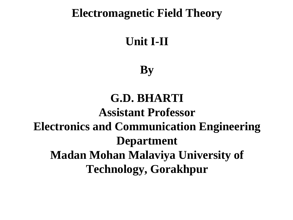#### **Electromagnetic Field Theory**

# **Unit I-II**

# **By**

# **G.D. BHARTI Assistant Professor Electronics and Communication Engineering Department Madan Mohan Malaviya University of Technology, Gorakhpur**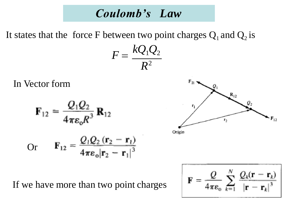#### *Coulomb's Law*

It states that the force F between two point charges  $Q_1$  and  $Q_2$  is

$$
F=\frac{kQ_1Q_2}{R^2}
$$

In Vector form

$$
\mathbf{F}_{12} = \frac{Q_1 Q_2}{4\pi \varepsilon_o R^3} \mathbf{R}_{12}
$$
  
Or 
$$
\mathbf{F}_{12} = \frac{Q_1 Q_2 (\mathbf{r}_2 - \mathbf{r}_1)}{4\pi \varepsilon_o |\mathbf{r}_2 - \mathbf{r}_1|^3}
$$



If we have more than two point charges

$$
\mathbf{F} = \frac{Q}{4\pi\epsilon_o} \sum_{k=1}^{N} \frac{Q_k(\mathbf{r} - \mathbf{r}_k)}{|\mathbf{r} - \mathbf{r}_k|^3}
$$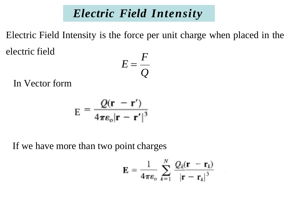#### *Electric Field Intensity*

*F* Electric Field Intensity is the force per unit charge when placed in the electric field

$$
E=\frac{r}{Q}
$$

In Vector form

$$
E = \frac{Q(\mathbf{r} - \mathbf{r}')}{4\pi\varepsilon_o|\mathbf{r} - \mathbf{r}'|^3}
$$

If we have more than two point charges

$$
\mathbf{E} = \frac{1}{4\pi\epsilon_0} \sum_{k=1}^{N} \frac{Q_k(\mathbf{r} - \mathbf{r}_k)}{|\mathbf{r} - \mathbf{r}_k|^3}
$$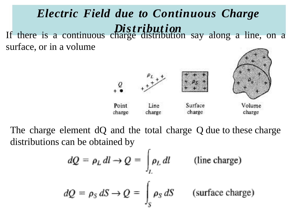#### *Electric Field due to Continuous Charge* If there is a continuous chan  $\mathbf{r}$ *s* ge *tr* d *i*  $\mathbf{1}$ *b* st *u* r.<br>Il *t* b *i* r<br>U *o* ti *n* on say along a line, on a surface, or in a volume



The charge element dQ and the total charge Q due to these charge distributions can be obtained by

$$
dQ = \rho_L dl \rightarrow Q = \int_L \rho_L dl \qquad \text{(line charge)}
$$
  

$$
dQ = \rho_S dS \rightarrow Q = \int_S \rho_S dS \qquad \text{(surface charge)}
$$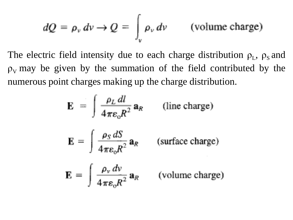$$
dQ = \rho_v dv \rightarrow Q = \int_v \rho_v dv \qquad \text{(volume charge)}
$$

The electric field intensity due to each charge distribution  $\rho_L$ ,  $\rho_s$  and  $\rho_V$  may be given by the summation of the field contributed by the numerous point charges making up the charge distribution.

$$
\mathbf{E} = \int \frac{\rho_L dl}{4\pi \epsilon_o R^2} \mathbf{a}_R \qquad \text{(line charge)}
$$
\n
$$
\mathbf{E} = \int \frac{\rho_S dS}{4\pi \epsilon_o R^2} \mathbf{a}_R \qquad \text{(surface charge)}
$$
\n
$$
\mathbf{E} = \int \frac{\rho_v dv}{4\pi \epsilon_o R^2} \mathbf{a}_R \qquad \text{(volume charge)}
$$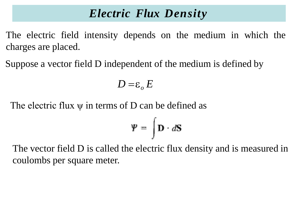## *Electric Flux Density*

The electric field intensity depends on the medium in which the charges are placed.

Suppose a vector field D independent of the medium is defined by

$$
D = \varepsilon_o E
$$

The electric flux  $\psi$  in terms of D can be defined as

$$
\mathbf{\Psi} = \int \mathbf{D} \cdot d\mathbf{S}
$$

The vector field D is called the electric flux density and is measured in coulombs per square meter.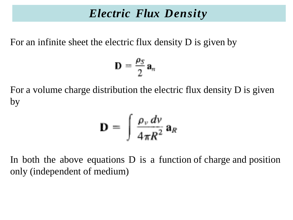#### *Electric Flux Density*

For an infinite sheet the electric flux density D is given by

$$
\mathbf{D}=\frac{\rho_S}{2}\,\mathbf{a}_n
$$

For a volume charge distribution the electric flux density D is given by

$$
\mathbf{D} = \int \frac{\rho_v dv}{4\pi R^2} \,\mathbf{a}_R
$$

In both the above equations D is a function of charge and position only (independent of medium)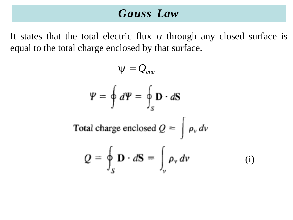#### *Gauss Law*

It states that the total electric flux  $\psi$  through any closed surface is equal to the total charge enclosed by that surface.

$$
\Psi = \oint d\Psi = \oint \mathbf{D} \cdot d\mathbf{S}
$$
  
Total charge enclosed  $Q = \int \rho_v dv$   

$$
Q = \oint \mathbf{D} \cdot d\mathbf{S} = \int \rho_v dv
$$

$$
Q = \oint_{S} \mathbf{D} \cdot d\mathbf{S} = \int_{v} \rho_{v} dv \qquad (i)
$$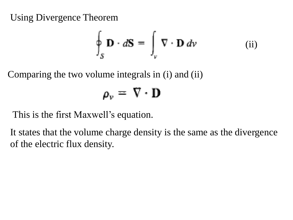Using Divergence Theorem

$$
\oint_{S} \mathbf{D} \cdot d\mathbf{S} = \int_{\nu} \nabla \cdot \mathbf{D} \, d\nu \tag{ii}
$$

Comparing the two volume integrals in (i) and (ii)

$$
\rho_{\nu} = \nabla \cdot \mathbf{D}
$$

This is the first Maxwell's equation.

It states that the volume charge density is the same as the divergence of the electric flux density.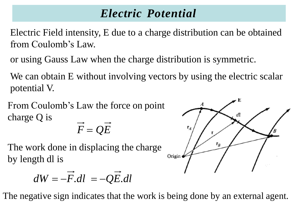## *Electric Potential*

Electric Field intensity, E due to a charge distribution can be obtained from Coulomb's Law.

or using Gauss Law when the charge distribution is symmetric.

We can obtain E without involving vectors by using the electric scalar potential V.

From Coulomb's Law the force on point charge Q is

$$
\overline{F} = \overline{Q}\overline{E}
$$

The work done in displacing the charge by length dl is

$$
dW = -\vec{F} . dl = -Q\vec{E} . dl
$$

The negative sign indicates that the work is being done by an external agent.

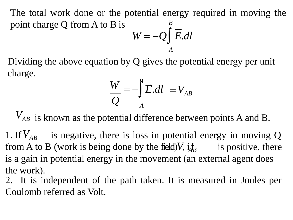The total work done or the potential energy required in moving the point charge Q from A to B is *<sup>B</sup>*  $W = -Q\int \vec{E} \cdot d\vec{l}$ 

Dividing the above equation by Q gives the potential energy per unit charge.

$$
\frac{W}{Q} = -\int_{A}^{B} \vec{E} \cdot dl = V_{AB}
$$

*A*

*VAB* is known as the potential difference between points A and B.

1. If  $V_{AB}$  is negative, there is loss in potential energy in moving Q from A to B (work is being done by the field) $V$ ,  $i_{AB}$  is positive, there is a gain in potential energy in the movement (an external agent does the work).

2. It is independent of the path taken. It is measured in Joules per Coulomb referred as Volt.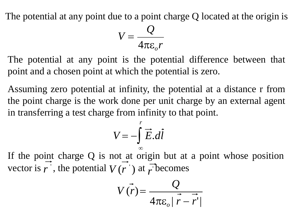The potential at any point due to a point charge Q located at the origin is

$$
V = \frac{Q}{4\pi\epsilon_o r}
$$

The potential at any point is the potential difference between that point and a chosen point at which the potential is zero.

Assuming zero potential at infinity, the potential at a distance r from the point charge is the work done per unit charge by an external agent in transferring a test charge from infinity to that point.

$$
V = -\int_{-\infty}^{r} \vec{E} \cdot d\vec{l}
$$

If the point charge Q is not at origin but at a point whose position vector is *r* ' , the potential  $V(r)$ ) at  $\vec{r}$  becomes

$$
V(\vec{r}) = \frac{Q}{4\pi\varepsilon_o |\vec{r} - \vec{r}'|}
$$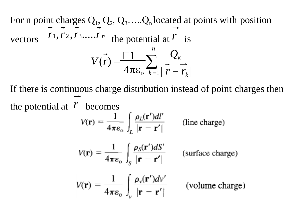For n point charges  $Q_1$ ,  $Q_2$ ,  $Q_3$ ..... $Q_n$  located at points with position vectors  $r_1, r_2, r_3, \ldots, r_n$  the potential at  $\overline{r}$  is  $\sum_{k=1}^{\infty}$  |  $r - r_k$ | *n*  $V(r) = \frac{\Box 1}{4\pi c} \sum_{k=1}^{n} \frac{Q_k}{r^2}$  $4\pi \varepsilon_o$ 

If there is continuous charge distribution instead of point charges then the potential at  $\vec{r}$  becomes

$$
V(\mathbf{r}) = \frac{1}{4\pi\epsilon_0} \int_L \frac{\rho_L(\mathbf{r}')dl'}{|\mathbf{r} - \mathbf{r}'|}
$$
 (line charge)

$$
V(\mathbf{r}) = \frac{1}{4\pi\epsilon_0} \int_S \frac{\rho_S(\mathbf{r}')dS'}{|\mathbf{r} - \mathbf{r}'|}
$$
 (surface charge)  
1 -  $\int \rho_s(\mathbf{r}')dV'$ 

$$
V(\mathbf{r}) = \frac{1}{4\pi\epsilon_o} \int_{v} \frac{\rho_v(\mathbf{r}')dv'}{|\mathbf{r} - \mathbf{r}'|}
$$
 (volume charge)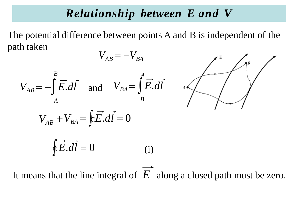#### *Relationship between E and V*

The potential difference between points A and B is independent of the path taken

$$
V_{AB} = -V_{BA}
$$
  
\n
$$
V_{AB} = -\int_{A}^{B} \vec{E} \cdot d\vec{l} \quad \text{and} \quad V_{BA} = \int_{B}^{A} \vec{E} \cdot d\vec{l} \qquad \text{and} \qquad V_{AB} + V_{BA} = \oint_{B} \vec{E} \cdot d\vec{l} = 0
$$
  
\n
$$
\oint \vec{E} \cdot d\vec{l} = 0 \qquad \qquad (i)
$$

It means that the line integral of *E* along a closed path must be zero.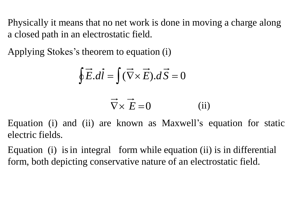Physically it means that no net work is done in moving a charge along a closed path in an electrostatic field.

Applying Stokes's theorem to equation (i)

$$
\oint \vec{E}.\vec{dl} = \int (\vec{\nabla} \times \vec{E}).\vec{dS} = 0
$$

$$
\vec{\nabla} \times \vec{E} = 0 \tag{ii}
$$

Equation (i) and (ii) are known as Maxwell's equation for static electric fields.

Equation (i) isin integral form while equation (ii) is in differential form, both depicting conservative nature of an electrostatic field.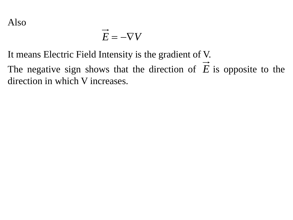$$
\overrightarrow{E} = -\nabla V
$$

It means Electric Field Intensity is the gradient of V.

The negative sign shows that the direction of *E* is opposite to thedirection in which V increases.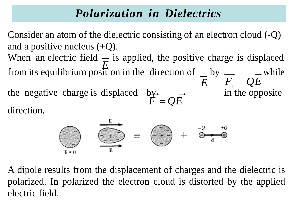## *Polarization in Dielectrics*

Consider an atom of the dielectric consisting of an electron cloud (-Q) and a positive nucleus  $(+Q)$ .

When an electric field  $\Rightarrow$  is applied, the positive charge is displaced the negative charge is displaced by  $\rightarrow$  in the opposite *E* from its equilibrium position in the direction of  $\rightarrow$  by  $\rightarrow$  while  $\vec{E}$   $\vec{F}_+ = QE$ 

*F*<sup>−</sup> = *QE*

direction.



A dipole results from the displacement of charges and the dielectric is polarized. In polarized the electron cloud is distorted by the applied electric field.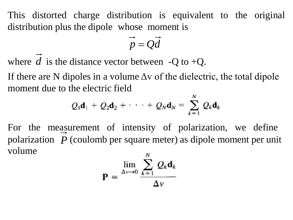This distorted charge distribution is equivalent to the original distribution plus the dipole whose moment is

$$
\vec{p} = Q\vec{d}
$$

where  $d$  is the distance vector between  $-Q$  to  $+Q$ .

If there are N dipoles in a volume  $\Delta v$  of the dielectric, the total dipole moment due to the electric field

$$
Q_1\mathbf{d}_1 + Q_2\mathbf{d}_2 + \cdots + Q_N\mathbf{d}_N = \sum_{k=1}^N Q_k\mathbf{d}_k
$$

For the measurement of intensity of polarization, we define polarization *P* (coulomb per square meter) as dipole moment per unit volume

$$
\mathbf{P} = \frac{\lim_{\Delta v \to 0} \sum_{k=1}^{N} Q_k \mathbf{d}_k}{\Delta v}
$$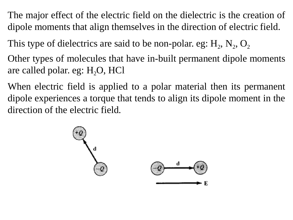The major effect of the electric field on the dielectric is the creation of dipole moments that align themselves in the direction of electric field.

This type of dielectrics are said to be non-polar. eg:  $H_2$ ,  $N_2$ ,  $O_2$ 

Other types of molecules that have in-built permanent dipole moments are called polar. eg: H<sub>2</sub>O, HCl

When electric field is applied to a polar material then its permanent dipole experiences a torque that tends to align its dipole moment in the direction of the electric field.

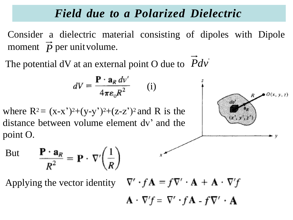## *Field due to a Polarized Dielectric*

Consider a dielectric material consisting of dipoles with Dipole moment  $\overrightarrow{p}$  per unit volume.

The potential dV at an external point O due to *Pdv*'

$$
dV = \frac{\mathbf{P} \cdot \mathbf{a}_R \, dv'}{4\pi\varepsilon_0 R^2} \qquad (i)
$$

 $\lambda$ 

where  $R^2 = (x-x^2)^2+(y-y^2)^2+(z-z^2)^2$  and R is the distance between volume element dv' and the point O.



$$
\text{But } \qquad \frac{\mathbf{P} \cdot \mathbf{a}_R}{R^2} = \mathbf{P} \cdot \nabla' \left(\frac{1}{R}\right) \qquad \qquad ^{x}
$$

Applying the vector identity  $\nabla \cdot f \mathbf{A} = f \nabla \cdot \mathbf{A} + \mathbf{A} \cdot \nabla f$ 

$$
\mathbf{A}\cdot\nabla'f=\nabla'\cdot f\mathbf{A}-f\nabla'\cdot\mathbf{A}
$$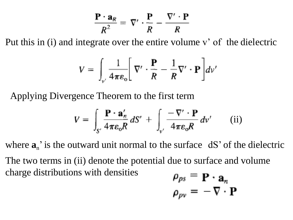$$
\frac{\mathbf{P} \cdot \mathbf{a}_R}{R^2} = \nabla' \cdot \frac{\mathbf{P}}{R} - \frac{\nabla' \cdot \mathbf{P}}{R}
$$

Put this in (i) and integrate over the entire volume v' of the dielectric

$$
V = \int_{v'} \frac{1}{4\pi\varepsilon_o} \left[ \nabla' \cdot \frac{\mathbf{P}}{R} - \frac{1}{R} \nabla' \cdot \mathbf{P} \right] dv'
$$

Applying Divergence Theorem to the first term

$$
V = \int_{S'} \frac{\mathbf{P} \cdot \mathbf{a}'_n}{4 \pi \varepsilon_0 R} dS' + \int_{v'} \frac{-\nabla' \cdot \mathbf{P}}{4 \pi \varepsilon_0 R} dv' \qquad (ii)
$$

where  $\mathbf{a}_n$ ' is the outward unit normal to the surface  $dS'$  of the dielectric The two terms in (ii) denote the potential due to surface and volume charge distributions with densities

$$
\rho_{ps} = \mathbf{P} \cdot \mathbf{a}_n
$$

$$
\rho_{pv} = -\nabla \cdot \mathbf{P}
$$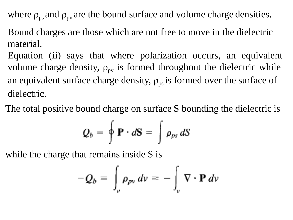where  $\rho_{ps}$  and  $\rho_{pv}$  are the bound surface and volume charge densities.

Bound charges are those which are not free to move in the dielectric material.

Equation (ii) says that where polarization occurs, an equivalent volume charge density,  $\rho_{pv}$  is formed throughout the dielectric while an equivalent surface charge density,  $\rho_{ps}$  is formed over the surface of dielectric.

The total positive bound charge on surface S bounding the dielectric is

$$
Q_b = \oint \mathbf{P} \cdot d\mathbf{S} = \int \rho_{ps} dS
$$

while the charge that remains inside S is

$$
-Q_b = \int_{\nu} \rho_{pv} dv = - \int_{\nu} \nabla \cdot \mathbf{P} dv
$$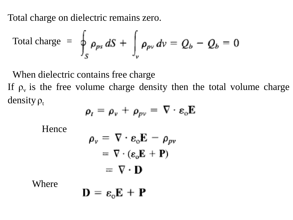Total charge on dielectric remains zero.

Total charge = 
$$
\oint_{S} \rho_{ps} dS + \int_{\nu} \rho_{pv} dv = Q_b - Q_b = 0
$$

When dielectric contains free charge If  $\rho$ <sub>v</sub> is the free volume charge density then the total volume charge density  $\rho_t$ 

$$
\rho_{t} = \rho_{v} + \rho_{pv} = \nabla \cdot \varepsilon_{0} \mathbf{E}
$$

Hence

$$
\rho_{\nu} = \nabla \cdot \mathbf{\varepsilon}_{0} \mathbf{E} - \rho_{pv}
$$

$$
= \nabla \cdot (\mathbf{\varepsilon}_{0} \mathbf{E} + \mathbf{P})
$$

$$
= \nabla \cdot \mathbf{D}
$$

Where

$$
\mathbf{D} = \mathbf{\varepsilon}_{\mathrm{o}}\mathbf{E} + \mathbf{P}
$$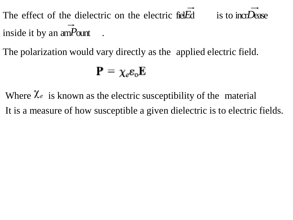The effect of the dielectric on the electric fiel*E*d is to incr*L* inside it by an am*P*ount .

The polarization would vary directly as the applied electric field.

$$
\mathbf{P}=\chi_e\mathbf{\varepsilon}_{\mathrm{o}}\mathbf{E}
$$

Where  $\chi_e$  is known as the electric susceptibility of the material It is a measure of how susceptible a given dielectric is to electric fields.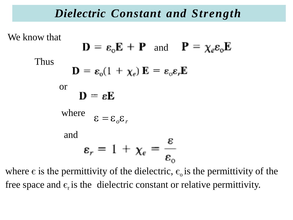#### *Dielectric Constant and Strength*

We know that

Thus

$$
\mathbf{D} = \varepsilon_{0} \mathbf{E} + \mathbf{P} \text{ and } \mathbf{P} = \chi_{e} \varepsilon_{0} \mathbf{E}
$$

$$
\mathbf{D} = \varepsilon_{0} (1 + \chi_{e}) \mathbf{E} = \varepsilon_{0} \varepsilon_{r} \mathbf{E}
$$
or
$$
\mathbf{D} = \varepsilon \mathbf{E}
$$
where
$$
\varepsilon = \varepsilon_{o} \varepsilon_{r}
$$
and
$$
\varepsilon_{r} = 1 + \chi_{e} = \frac{\varepsilon}{\varepsilon_{o}}
$$

where  $\epsilon$  is the permittivity of the dielectric,  $\epsilon_0$  is the permittivity of the free space and  $\epsilon_{r}$  is the dielectric constant or relative permittivity.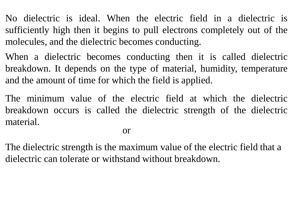No dielectric is ideal. When the electric field in a dielectric is sufficiently high then it begins to pull electrons completely out of the molecules, and the dielectric becomes conducting.

When a dielectric becomes conducting then it is called dielectric breakdown. It depends on the type of material, humidity, temperature and the amount of time for which the field is applied.

The minimum value of the electric field at which the dielectric breakdown occurs is called the dielectric strength of the dielectric material.

or

The dielectric strength is the maximum value of the electric field that a dielectric can tolerate or withstand without breakdown.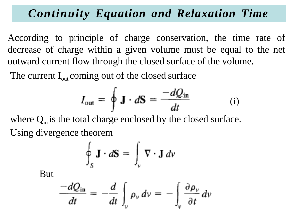## *Continuity Equation and Relaxation Time*

According to principle of charge conservation, the time rate of decrease of charge within a given volume must be equal to the net outward current flow through the closed surface of the volume.

The current  $I_{out}$  coming out of the closed surface

$$
I_{\text{out}} = \oint \mathbf{J} \cdot d\mathbf{S} = \frac{-dQ_{\text{in}}}{dt} \qquad (i)
$$

where  $Q_{in}$  is the total charge enclosed by the closed surface. Using divergence theorem

$$
\oint_{S} \mathbf{J} \cdot d\mathbf{S} = \int_{v} \nabla \cdot \mathbf{J} \, dv
$$

But

$$
\frac{-dQ_{\text{in}}}{dt} = -\frac{d}{dt}\int_{v} \rho_{v} dv = -\int_{v} \frac{\partial \rho_{v}}{\partial t} dv
$$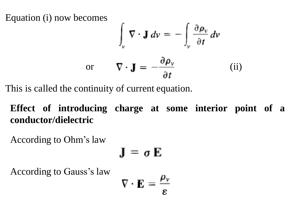Equation (i) now becomes

$$
\int_{\nu} \nabla \cdot \mathbf{J} \, d\nu = -\int_{\nu} \frac{\partial \rho_{\nu}}{\partial t} \, d\nu
$$
\nor\n
$$
\nabla \cdot \mathbf{J} = -\frac{\partial \rho_{\nu}}{\partial t}
$$
\n(ii)

This is called the continuity of current equation.

**Effect of introducing charge at some interior point of a conductor/dielectric**

According to Ohm's law

$$
\mathbf{J} = \boldsymbol{\sigma} \mathbf{E}
$$

J.

According to Gauss's law

$$
\nabla \cdot \mathbf{E} = \frac{\rho_v}{\varepsilon}
$$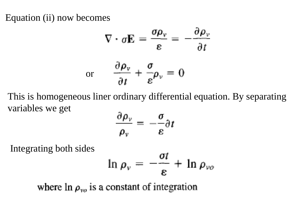Equation (ii) now becomes

$$
\nabla \cdot \sigma \mathbf{E} = \frac{\sigma \rho_v}{\varepsilon} = -\frac{\partial \rho_v}{\partial t}
$$
  
or 
$$
\frac{\partial \rho_v}{\partial t} + \frac{\sigma}{\varepsilon} \rho_v = 0
$$

This is homogeneous liner ordinary differential equation. By separating variables we get m.

$$
\frac{\partial \rho_{\nu}}{\rho_{\nu}} = -\frac{\sigma}{\varepsilon} \partial t
$$

Integrating both sides

$$
\ln \rho_v = -\frac{\sigma t}{\varepsilon} + \ln \rho_{vo}
$$

where  $\ln \rho_{vo}$  is a constant of integration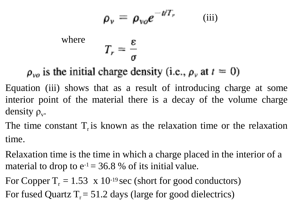$$
\rho_{\nu} = \rho_{\nu o} e^{-t/T_r}
$$
 (iii)  
where 
$$
T_r = \frac{\varepsilon}{\sigma}
$$

 $\rho_{\nu o}$  is the initial charge density (i.e.,  $\rho_{\nu}$  at  $t = 0$ )

Equation (iii) shows that as a result of introducing charge at some interior point of the material there is a decay of the volume charge density  $\rho_{v}$ .

The time constant  $T<sub>r</sub>$  is known as the relaxation time or the relaxation time.

Relaxation time is the time in which a charge placed in the interior of a material to drop to  $e^{-1} = 36.8$  % of its initial value.

For Copper  $T_r = 1.53 \times 10^{-19}$  sec (short for good conductors) For fused Quartz  $T_r = 51.2$  days (large for good dielectrics)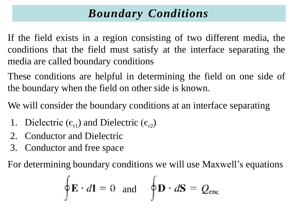# *Boundary Conditions*

If the field exists in a region consisting of two different media, the conditions that the field must satisfy at the interface separating the media are called boundary conditions

These conditions are helpful in determining the field on one side of the boundary when the field on other side is known.

We will consider the boundary conditions at an interface separating

- 1. Dielectric  $(\epsilon_{r1})$  and Dielectric  $(\epsilon_{r2})$
- 2. Conductor and Dielectric
- 3. Conductor and free space

For determining boundary conditions we will use Maxwell's equations

$$
\oint \mathbf{E} \cdot d\mathbf{l} = 0 \text{ and } \oint \mathbf{D} \cdot d\mathbf{S} = Q_{\text{enc}}
$$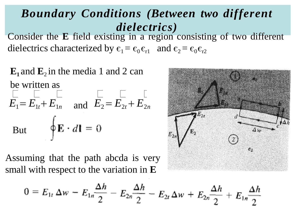## *Boundary Conditions (Between two different dielectrics)*

Consider the **E** field existing in a region consisting of two different dielectrics characterized by  $\epsilon_1 = \epsilon_0 \epsilon_{r1}$  and  $\epsilon_2 = \epsilon_0 \epsilon_{r2}$ 

 $\mathbf{E}_1$  and  $\mathbf{E}_2$  in the media 1 and 2 can be written as  $E_1 = E_{1t} + E_{1n}$  and  $E_2 = E_{2t} + E_{2n}$ But  $\oint \mathbf{E} \cdot d\mathbf{l} = 0$ 

Assuming that the path abcda is very small with respect to the variation in **E**



$$
0 = E_{1t} \Delta w - E_{1n} \frac{\Delta h}{2} - E_{2n} \frac{\Delta h}{2} - E_{2t} \Delta w + E_{2n} \frac{\Delta h}{2} + E_{1n} \frac{\Delta h}{2}
$$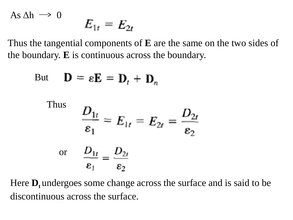As 
$$
\Delta h \rightarrow 0
$$
  $E_{1r} = E_{2r}$ 

Thus the tangential components of **E** are the same on the two sides of the boundary. **E** is continuous across the boundary.

But 
$$
\mathbf{D} = \varepsilon \mathbf{E} = \mathbf{D}_t + \mathbf{D}_n
$$
  
\nThus  $\frac{D_{1t}}{\varepsilon_1} = E_{1t} = E_{2t} = \frac{D_{2t}}{\varepsilon_2}$   
\nor  $\frac{D_{1t}}{\varepsilon_1} = \frac{D_{2t}}{\varepsilon_2}$ 

Here **D**<sub>t</sub> undergoes some change across the surface and is said to be discontinuous across the surface.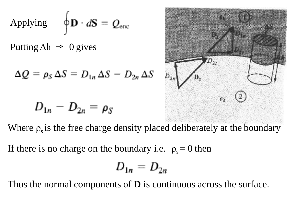Applying 
$$
\oint \mathbf{D} \cdot d\mathbf{S} = Q_{\text{enc}}
$$

Putting  $\Delta h \rightarrow 0$  gives

$$
\Delta Q = \rho_S \, \Delta S = D_{1n} \, \Delta S - D_{2n} \, \Delta S
$$

$$
D_{1n}-D_{2n}=\rho_S
$$



Where  $\rho_s$  is the free charge density placed deliberately at the boundary

If there is no charge on the boundary i.e.  $\rho_s = 0$  then

$$
D_{1n}=D_{2n}
$$

Thus the normal components of **D** is continuous across the surface.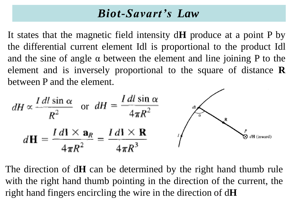#### *Biot-Savart's Law*

It states that the magnetic field intensity d**H** produce at a point P by the differential current element Idl is proportional to the product Idl and the sine of angle  $\alpha$  between the element and line joining P to the element and is inversely proportional to the square of distance **R** between P and the element.

$$
dH \propto \frac{I \, dl \sin \alpha}{R^2} \quad \text{or} \quad dH = \frac{I \, dl \sin \alpha}{4\pi R^2}
$$
\n
$$
dH = \frac{I \, dl \times \mathbf{a}_R}{4\pi R^2} = \frac{I \, dl \times \mathbf{R}}{4\pi R^3} \qquad \qquad \int_{\infty}^{\infty} \int_{\mathcal{B} \, dH \, (\text{inward})} \rho \, dH
$$

The direction of d**H** can be determined by the right hand thumb rule with the right hand thumb pointing in the direction of the current, the right hand fingers encircling the wire in the direction of d**H**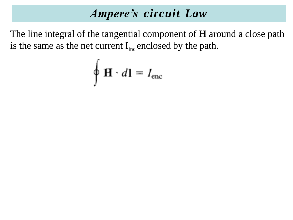## *Ampere's circuit Law*

The line integral of the tangential component of **H** around a close path is the same as the net current  $I_{inc}$  enclosed by the path.

$$
\oint \mathbf{H} \cdot d\mathbf{l} = I_{\text{enc}}
$$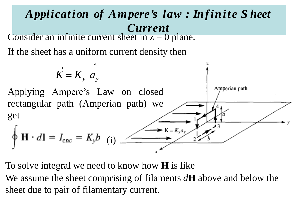

To solve integral we need to know how **H** is like

We assume the sheet comprising of filaments *d***H** above and below the sheet due to pair of filamentary current.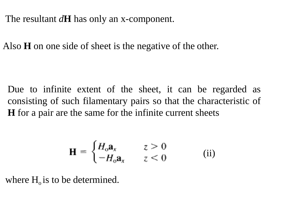The resultant *d***H** has only an x-component.

Also **H** on one side of sheet is the negative of the other.

Due to infinite extent of the sheet, it can be regarded as consisting of such filamentary pairs so that the characteristic of **H** for a pair are the same for the infinite current sheets

$$
\mathbf{H} = \begin{cases} H_o \mathbf{a}_x & z > 0 \\ -H_o \mathbf{a}_x & z < 0 \end{cases}
$$
 (ii)

where  $H<sub>o</sub>$  is to be determined.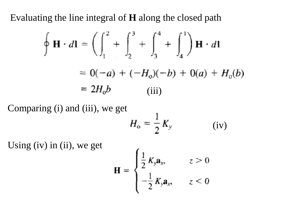Evaluating the line integral of **H** along the closed path

$$
\oint \mathbf{H} \cdot d\mathbf{l} = \left( \int_{1}^{2} + \int_{2}^{3} + \int_{3}^{4} + \int_{4}^{1} \right) \mathbf{H} \cdot d\mathbf{l}
$$
  
= 0(-a) + (-H<sub>0</sub>)(-b) + 0(a) + H<sub>0</sub>(b)  
= 2H<sub>0</sub>b (iii)

Comparing (i) and (iii), we get

$$
H_{\rm o} = \frac{1}{2} K_{\rm y} \qquad \qquad \text{(iv)}
$$

Using (iv) in (ii), we get

$$
\mathbf{H} = \begin{cases} \frac{1}{2} K_y \mathbf{a}_x, & z > 0 \\ -\frac{1}{2} K_y \mathbf{a}_x, & z < 0 \end{cases}
$$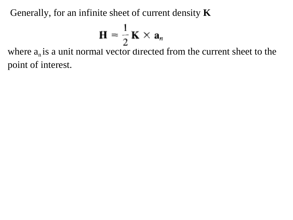Generally, for an infinite sheet of current density **K**

$$
\mathbf{H} = \frac{1}{2} \mathbf{K} \times \mathbf{a}_n
$$

where  $a_n$  is a unit normal vector directed from the current sheet to the point of interest.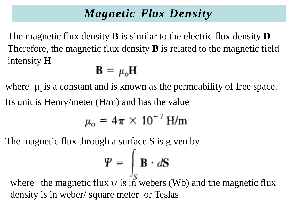## *Magnetic Flux Density*

The magnetic flux density **B** is similar to the electric flux density **D**  Therefore, the magnetic flux density **B** is related to the magnetic field intensity **H**

# $\mathbf{B} = \mu_0 \mathbf{H}$

where  $\mu_0$  is a constant and is known as the permeability of free space. Its unit is Henry/meter (H/m) and has the value

$$
\mu_{\rm o}=4\pi\times10^{-7}\,\rm H/m
$$

The magnetic flux through a surface S is given by

$$
\mathbf{Y} = \int_{\mathbb{R}} \mathbf{B} \cdot d\mathbf{S}
$$

where the magnetic flux  $\psi$  is in webers (Wb) and the magnetic flux density is in weber/ square meter or Teslas.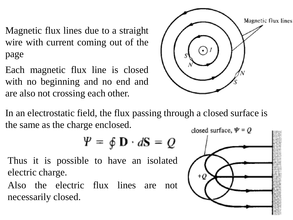Magnetic flux lines due to a straight wire with current coming out of the page

Each magnetic flux line is closed with no beginning and no end and are also not crossing each other.



In an electrostatic field, the flux passing through a closed surface is the same as the charge enclosed.

$$
\mathbf{P} = \oint \mathbf{D} \cdot d\mathbf{S} = Q
$$

Thus it is possible to have an isolated electric charge.

Also the electric flux lines are not necessarily closed.

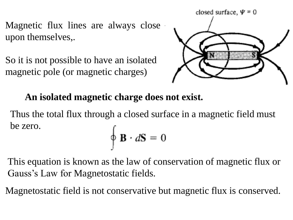Magnetic flux lines are always close upon themselves,.

So it is not possible to have an isolated magnetic pole (or magnetic charges)



**An isolated magnetic charge does not exist.**

Thus the total flux through a closed surface in a magnetic field must be zero.  $\oint \mathbf{B} \cdot d\mathbf{S} = 0$ 

This equation is known as the law of conservation of magnetic flux or Gauss's Law for Magnetostatic fields.

Magnetostatic field is not conservative but magnetic flux is conserved.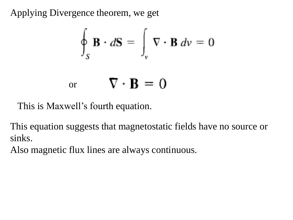Applying Divergence theorem, we get

$$
\oint_{S} \mathbf{B} \cdot d\mathbf{S} = \int_{v} \nabla \cdot \mathbf{B} dv = 0
$$
\nor\n
$$
\nabla \cdot \mathbf{B} = 0
$$

This is Maxwell's fourth equation.

This equation suggests that magnetostatic fields have no source or sinks.

Also magnetic flux lines are always continuous.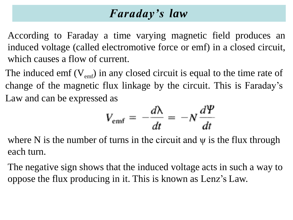## *Faraday's law*

According to Faraday a time varying magnetic field produces an induced voltage (called electromotive force or emf) in a closed circuit, which causes a flow of current.

The induced emf  $(V_{emf})$  in any closed circuit is equal to the time rate of change of the magnetic flux linkage by the circuit. This is Faraday's Law and can be expressed as

$$
V_{\rm emf} = -\frac{d\lambda}{dt} = -N\frac{d\Psi}{dt}
$$

where N is the number of turns in the circuit and  $\psi$  is the flux through each turn.

The negative sign shows that the induced voltage acts in such a way to oppose the flux producing in it. This is known as Lenz's Law.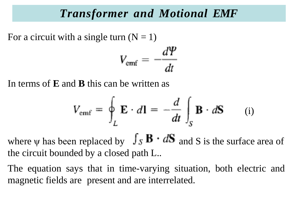#### *Transformer and Motional EMF*

For a circuit with a single turn  $(N = 1)$  $V_{\text{emf}} = -\frac{d\varPsi}{dt}$ 

In terms of **E** and **B** this can be written as

$$
V_{\text{emf}} = \oint_{L} \mathbf{E} \cdot d\mathbf{l} = -\frac{d}{dt} \int_{S} \mathbf{B} \cdot d\mathbf{S} \qquad (i)
$$

where  $\psi$  has been replaced by  $\int_S \mathbf{B} \cdot d\mathbf{S}$  and S is the surface area of the circuit bounded by a closed path L..

The equation says that in time-varying situation, both electric and magnetic fields are present and are interrelated.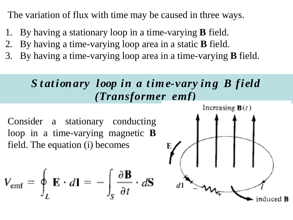The variation of flux with time may be caused in three ways.

- 1. By having a stationary loop in a time-varying **B** field.
- 2. By having a time-varying loop area in a static **B** field.
- 3. By having a time-varying loop area in a time-varying **B** field.

## *S t ationary loop in a time-vary ing B field (Transformer emf)*

Consider a stationary conducting loop in a time-varying magnetic **B** field. The equation (i) becomes

$$
V_{\text{emf}} = \oint_L \mathbf{E} \cdot d\mathbf{l} = -\int_S \frac{\partial \mathbf{B}}{\partial t} \cdot d\mathbf{s}
$$

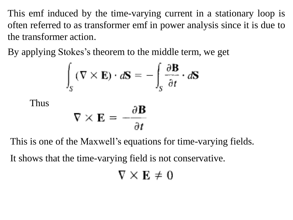This emf induced by the time-varying current in a stationary loop is often referred to as transformer emf in power analysis since it is due to the transformer action.

By applying Stokes's theorem to the middle term, we get

$$
\int_{S} (\nabla \times \mathbf{E}) \cdot d\mathbf{S} = -\int_{S} \frac{\partial \mathbf{B}}{\partial t} \cdot d\mathbf{S}
$$

$$
\nabla \times \mathbf{E} = -\frac{\partial \mathbf{B}}{\partial t}
$$

Thus

This is one of the Maxwell's equations for time-varying fields.

It shows that the time-varying field is not conservative.

$$
\nabla \times \mathbf{E} \neq 0
$$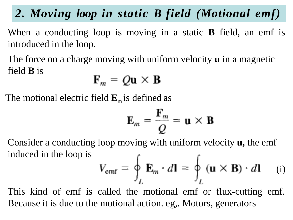*2. Moving loop in static B field (Motional emf)*

When a conducting loop is moving in a static **B** field, an emf is introduced in the loop.

The force on a charge moving with uniform velocity **u** in a magnetic field **B** is

$$
F_m = Q\mathbf{u} \times \mathbf{B}
$$

The motional electric field  $\mathbf{E}_{\text{m}}$  is defined as

$$
\mathbf{E}_m = \frac{\mathbf{F}_m}{Q} = \mathbf{u} \times \mathbf{B}
$$

Consider a conducting loop moving with uniform velocity **u,** the emf induced in the loop is

$$
V_{\text{emf}} = \oint_{L} \mathbf{E}_{m} \cdot d\mathbf{l} = \oint_{L} (\mathbf{u} \times \mathbf{B}) \cdot d\mathbf{l}
$$
 (i)

This kind of emf is called the motional emf or flux-cutting emf. Because it is due to the motional action. eg,. Motors, generators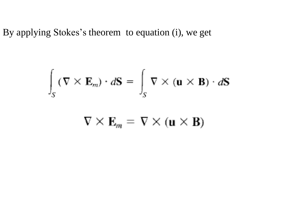By applying Stokes's theorem to equation (i), we get

$$
\int_{S} (\nabla \times \mathbf{E}_{m}) \cdot d\mathbf{S} = \int_{S} \nabla \times (\mathbf{u} \times \mathbf{B}) \cdot d\mathbf{S}
$$

$$
\nabla \times \mathbf{E}_m = \nabla \times (\mathbf{u} \times \mathbf{B})
$$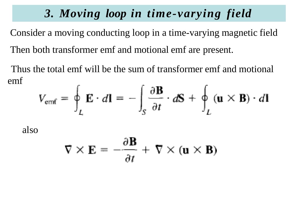## *3. Moving loop in time-varying field*

Consider a moving conducting loop in a time-varying magnetic field Then both transformer emf and motional emf are present.

Thus the total emf will be the sum of transformer emf and motional emf

$$
V_{\text{emf}} = \oint_{L} \mathbf{E} \cdot d\mathbf{l} = -\int_{S} \frac{\partial \mathbf{B}}{\partial t} \cdot d\mathbf{S} + \oint_{L} (\mathbf{u} \times \mathbf{B}) \cdot d\mathbf{l}
$$

also

$$
\nabla \times \mathbf{E} = -\frac{\partial \mathbf{B}}{\partial t} + \nabla \times (\mathbf{u} \times \mathbf{B})
$$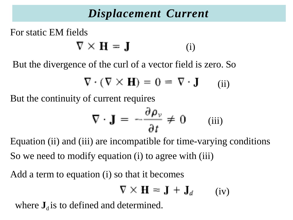## *Displacement Current*

For static EM fields

 $\nabla \times \mathbf{H} = \mathbf{J}$ (i)

But the divergence of the curl of a vector field is zero. So

$$
\nabla \cdot (\nabla \times \mathbf{H}) = 0 = \nabla \cdot \mathbf{J} \qquad (ii)
$$

But the continuity of current requires

$$
\nabla \cdot \mathbf{J} = -\frac{\partial \rho_{\nu}}{\partial t} \neq 0 \qquad \text{(iii)}
$$

Equation (ii) and (iii) are incompatible for time-varying conditions So we need to modify equation (i) to agree with (iii)

Add a term to equation (i) so that it becomes

$$
\nabla \times \mathbf{H} = \mathbf{J} + \mathbf{J}_d \qquad \text{(iv)}
$$

where  $J_d$  is to defined and determined.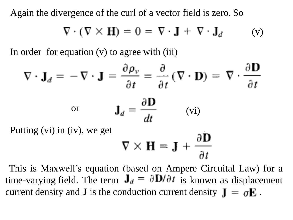Again the divergence of the curl of a vector field is zero. So

$$
\nabla \cdot (\nabla \times \mathbf{H}) = 0 = \nabla \cdot \mathbf{J} + \nabla \cdot \mathbf{J}_d \qquad \text{(v)}
$$

In order for equation (v) to agree with (iii)

$$
\nabla \cdot \mathbf{J}_d = -\nabla \cdot \mathbf{J} = \frac{\partial \rho_v}{\partial t} = \frac{\partial}{\partial t} (\nabla \cdot \mathbf{D}) = \nabla \cdot \frac{\partial \mathbf{D}}{\partial t}
$$
  
or 
$$
\mathbf{J}_d = \frac{\partial \mathbf{D}}{\partial t}
$$
 (vi)  
Putting (vi) in (iv), we get

$$
\nabla \times \mathbf{H} = \mathbf{J} + \frac{\partial \mathbf{D}}{\partial t}
$$

This is Maxwell's equation (based on Ampere Circuital Law) for a time-varying field. The term  $J_d = \partial D/\partial t$  is known as displacement current density and **J** is the conduction current density  $I = \sigma E$ .